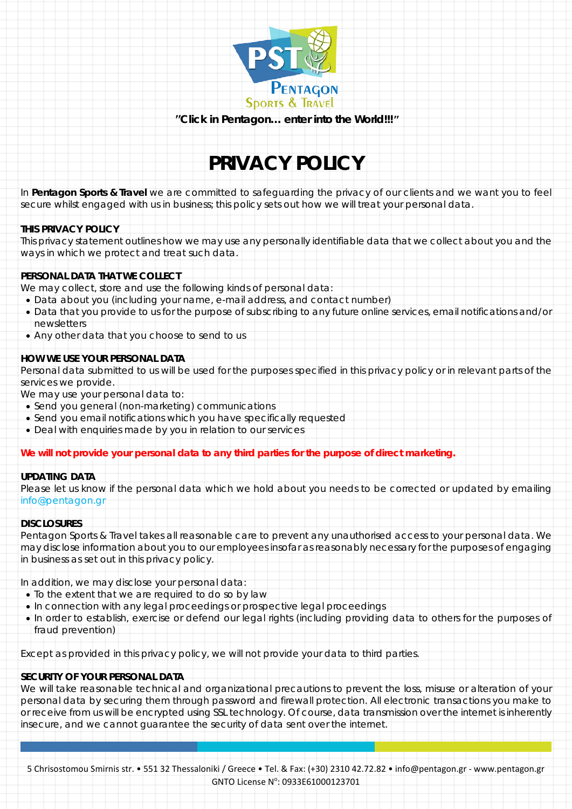

*"Click in Pentagon… enter into the World!!!"*

# **PRIVACY POLICY**

In **Pentagon Sports & Travel** we are committed to safeguarding the privacy of our clients and we want you to feel secure whilst engaged with us in business; this policy sets out how we will treat your personal data.

# **THIS PRIVACY POLICY**

This privacy statement outlines how we may use any personally identifiable data that we collect about you and the ways in which we protect and treat such data.

#### **PERSONAL DATA THAT WE COLLECT**

We may collect, store and use the following kinds of personal data:

- Data about you (including your name, e-mail address, and contact number)
- Data that you provide to us for the purpose of subscribing to any future online services, email notifications and/or newsletters
- Any other data that you choose to send to us

# **HOW WE USE YOUR PERSONAL DATA**

Personal data submitted to us will be used for the purposes specified in this privacy policy or in relevant parts of the services we provide.

We may use your personal data to:

- Send you general (non-marketing) communications
- Send you email notifications which you have specifically requested
- Deal with enquiries made by you in relation to our services

# *We will not provide your personal data to any third parties for the purpose of direct marketing.*

# **UPDATING DATA**

Please let us know if the personal data which we hold about you needs to be corrected or updated by emailing info@pentagon.gr

#### **DISCLOSURES**

Pentagon Sports & Travel takes all reasonable care to prevent any unauthorised access to your personal data. We may disclose information about you to our employees insofar as reasonably necessary for the purposes of engaging in business as set out in this privacy policy.

In addition, we may disclose your personal data:

- To the extent that we are required to do so by law
- In connection with any legal proceedings or prospective legal proceedings
- In order to establish, exercise or defend our legal rights (including providing data to others for the purposes of fraud prevention)

Except as provided in this privacy policy, we will not provide your data to third parties.

# **SECURITY OF YOUR PERSONAL DATA**

We will take reasonable technical and organizational precautions to prevent the loss, misuse or alteration of your personal data by securing them through password and firewall protection. All electronic transactions you make to or receive from us will be encrypted using SSL technology. Of course, data transmission over the internet is inherently insecure, and we cannot guarantee the security of data sent over the internet.

5 Chrisostomou Smirnis str. • 551 32 Thessaloniki / Greece • Tel. & Fax: (+30) 2310 42.72.82 • info@pentagon.gr - www.pentagon.gr GNTO License N°: 0933E61000123701